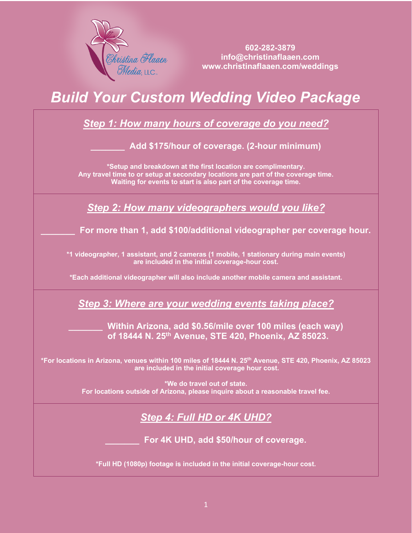

 **602-282-3879 info@christinaflaaen.com www.christinaflaaen.com/weddings**

## *Build Your Custom Wedding Video Package*

| <b>Step 1: How many hours of coverage do you need?</b>                                                                                                                                                               |
|----------------------------------------------------------------------------------------------------------------------------------------------------------------------------------------------------------------------|
| Add \$175/hour of coverage. (2-hour minimum)                                                                                                                                                                         |
| *Setup and breakdown at the first location are complimentary.<br>Any travel time to or setup at secondary locations are part of the coverage time.<br>Waiting for events to start is also part of the coverage time. |
| <b>Step 2: How many videographers would you like?</b>                                                                                                                                                                |
| For more than 1, add \$100/additional videographer per coverage hour.                                                                                                                                                |
| *1 videographer, 1 assistant, and 2 cameras (1 mobile, 1 stationary during main events)<br>are included in the initial coverage-hour cost.                                                                           |
| *Each additional videographer will also include another mobile camera and assistant.                                                                                                                                 |
| Step 3: Where are your wedding events taking place?                                                                                                                                                                  |
| Within Arizona, add \$0.56/mile over 100 miles (each way)<br>of 18444 N. 25th Avenue, STE 420, Phoenix, AZ 85023.                                                                                                    |
| *For locations in Arizona, venues within 100 miles of 18444 N. 25 <sup>th</sup> Avenue, STE 420, Phoenix, AZ 85023<br>are included in the initial coverage hour cost.                                                |
| *We do travel out of state.<br>For locations outside of Arizona, please inquire about a reasonable travel fee.                                                                                                       |
| <b>Step 4: Full HD or 4K UHD?</b>                                                                                                                                                                                    |
| For 4K UHD, add \$50/hour of coverage.                                                                                                                                                                               |
| *Full HD (1080p) footage is included in the initial coverage-hour cost.                                                                                                                                              |